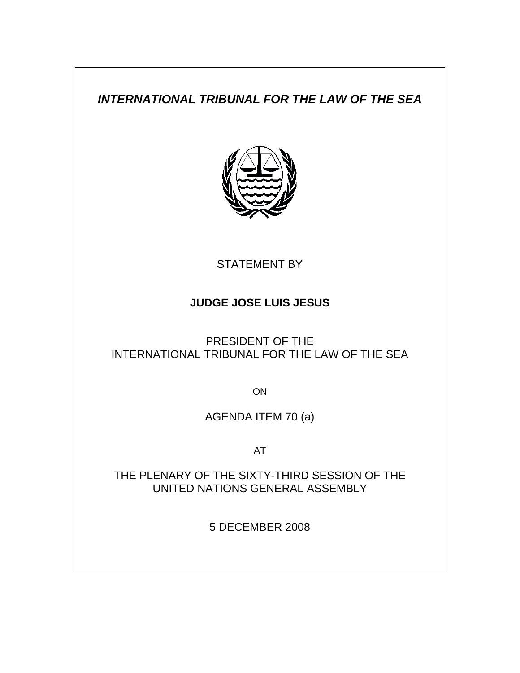# *INTERNATIONAL TRIBUNAL FOR THE LAW OF THE SEA*



STATEMENT BY

## **JUDGE JOSE LUIS JESUS**

PRESIDENT OF THE INTERNATIONAL TRIBUNAL FOR THE LAW OF THE SEA

ON

AGENDA ITEM 70 (a)

AT

THE PLENARY OF THE SIXTY-THIRD SESSION OF THE UNITED NATIONS GENERAL ASSEMBLY

5 DECEMBER 2008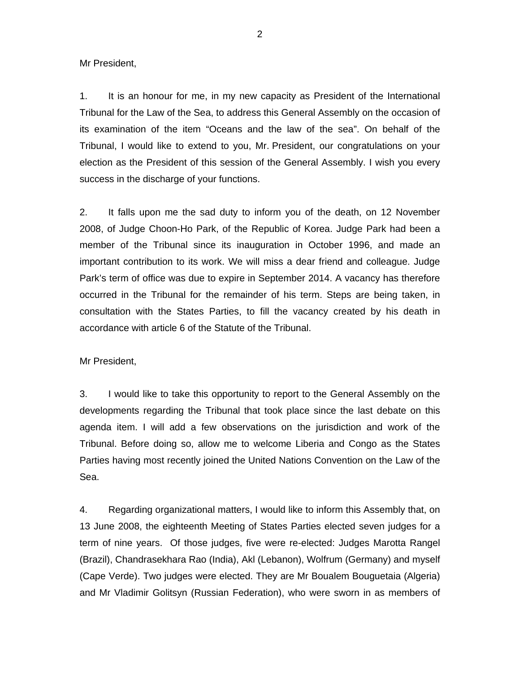Mr President,

1. It is an honour for me, in my new capacity as President of the International Tribunal for the Law of the Sea, to address this General Assembly on the occasion of its examination of the item "Oceans and the law of the sea". On behalf of the Tribunal, I would like to extend to you, Mr. President, our congratulations on your election as the President of this session of the General Assembly. I wish you every success in the discharge of your functions.

2. It falls upon me the sad duty to inform you of the death, on 12 November 2008, of Judge Choon-Ho Park, of the Republic of Korea. Judge Park had been a member of the Tribunal since its inauguration in October 1996, and made an important contribution to its work. We will miss a dear friend and colleague. Judge Park's term of office was due to expire in September 2014. A vacancy has therefore occurred in the Tribunal for the remainder of his term. Steps are being taken, in consultation with the States Parties, to fill the vacancy created by his death in accordance with article 6 of the Statute of the Tribunal.

Mr President,

3. I would like to take this opportunity to report to the General Assembly on the developments regarding the Tribunal that took place since the last debate on this agenda item. I will add a few observations on the jurisdiction and work of the Tribunal. Before doing so, allow me to welcome Liberia and Congo as the States Parties having most recently joined the United Nations Convention on the Law of the Sea.

4. Regarding organizational matters, I would like to inform this Assembly that, on 13 June 2008, the eighteenth Meeting of States Parties elected seven judges for a term of nine years. Of those judges, five were re-elected: Judges Marotta Rangel (Brazil), Chandrasekhara Rao (India), Akl (Lebanon), Wolfrum (Germany) and myself (Cape Verde). Two judges were elected. They are Mr Boualem Bouguetaia (Algeria) and Mr Vladimir Golitsyn (Russian Federation), who were sworn in as members of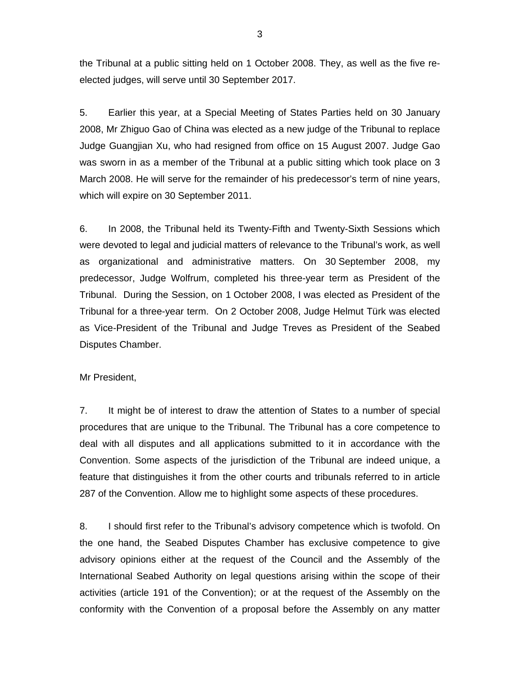the Tribunal at a public sitting held on 1 October 2008. They, as well as the five reelected judges, will serve until 30 September 2017.

5. Earlier this year, at a Special Meeting of States Parties held on 30 January 2008, Mr Zhiguo Gao of China was elected as a new judge of the Tribunal to replace Judge Guangjian Xu, who had resigned from office on 15 August 2007. Judge Gao was sworn in as a member of the Tribunal at a public sitting which took place on 3 March 2008. He will serve for the remainder of his predecessor's term of nine years, which will expire on 30 September 2011.

6. In 2008, the Tribunal held its Twenty-Fifth and Twenty-Sixth Sessions which were devoted to legal and judicial matters of relevance to the Tribunal's work, as well as organizational and administrative matters. On 30 September 2008, my predecessor, Judge Wolfrum, completed his three-year term as President of the Tribunal. During the Session, on 1 October 2008, I was elected as President of the Tribunal for a three-year term. On 2 October 2008, Judge Helmut Türk was elected as Vice-President of the Tribunal and Judge Treves as President of the Seabed Disputes Chamber.

#### Mr President,

7. It might be of interest to draw the attention of States to a number of special procedures that are unique to the Tribunal. The Tribunal has a core competence to deal with all disputes and all applications submitted to it in accordance with the Convention. Some aspects of the jurisdiction of the Tribunal are indeed unique, a feature that distinguishes it from the other courts and tribunals referred to in article 287 of the Convention. Allow me to highlight some aspects of these procedures.

8. I should first refer to the Tribunal's advisory competence which is twofold. On the one hand, the Seabed Disputes Chamber has exclusive competence to give advisory opinions either at the request of the Council and the Assembly of the International Seabed Authority on legal questions arising within the scope of their activities (article 191 of the Convention); or at the request of the Assembly on the conformity with the Convention of a proposal before the Assembly on any matter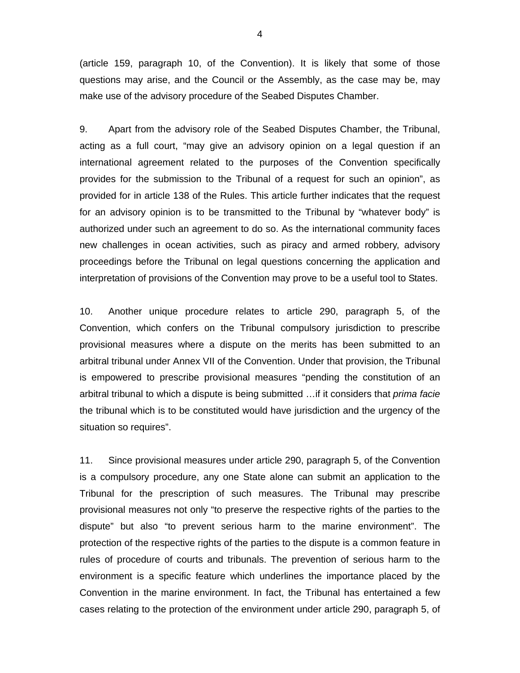(article 159, paragraph 10, of the Convention). It is likely that some of those questions may arise, and the Council or the Assembly, as the case may be, may make use of the advisory procedure of the Seabed Disputes Chamber.

9. Apart from the advisory role of the Seabed Disputes Chamber, the Tribunal, acting as a full court, "may give an advisory opinion on a legal question if an international agreement related to the purposes of the Convention specifically provides for the submission to the Tribunal of a request for such an opinion", as provided for in article 138 of the Rules. This article further indicates that the request for an advisory opinion is to be transmitted to the Tribunal by "whatever body" is authorized under such an agreement to do so. As the international community faces new challenges in ocean activities, such as piracy and armed robbery, advisory proceedings before the Tribunal on legal questions concerning the application and interpretation of provisions of the Convention may prove to be a useful tool to States.

10. Another unique procedure relates to article 290, paragraph 5, of the Convention, which confers on the Tribunal compulsory jurisdiction to prescribe provisional measures where a dispute on the merits has been submitted to an arbitral tribunal under Annex VII of the Convention. Under that provision, the Tribunal is empowered to prescribe provisional measures "pending the constitution of an arbitral tribunal to which a dispute is being submitted …if it considers that *prima facie* the tribunal which is to be constituted would have jurisdiction and the urgency of the situation so requires".

11. Since provisional measures under article 290, paragraph 5, of the Convention is a compulsory procedure, any one State alone can submit an application to the Tribunal for the prescription of such measures. The Tribunal may prescribe provisional measures not only "to preserve the respective rights of the parties to the dispute" but also "to prevent serious harm to the marine environment". The protection of the respective rights of the parties to the dispute is a common feature in rules of procedure of courts and tribunals. The prevention of serious harm to the environment is a specific feature which underlines the importance placed by the Convention in the marine environment. In fact, the Tribunal has entertained a few cases relating to the protection of the environment under article 290, paragraph 5, of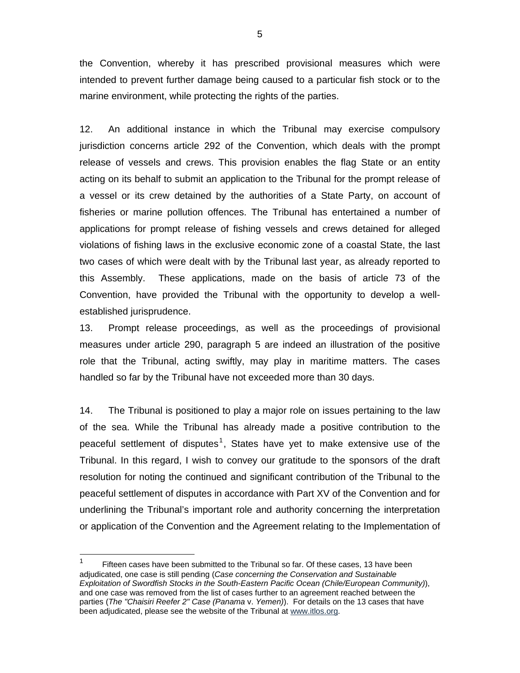the Convention, whereby it has prescribed provisional measures which were intended to prevent further damage being caused to a particular fish stock or to the marine environment, while protecting the rights of the parties.

12. An additional instance in which the Tribunal may exercise compulsory jurisdiction concerns article 292 of the Convention, which deals with the prompt release of vessels and crews. This provision enables the flag State or an entity acting on its behalf to submit an application to the Tribunal for the prompt release of a vessel or its crew detained by the authorities of a State Party, on account of fisheries or marine pollution offences. The Tribunal has entertained a number of applications for prompt release of fishing vessels and crews detained for alleged violations of fishing laws in the exclusive economic zone of a coastal State, the last two cases of which were dealt with by the Tribunal last year, as already reported to this Assembly. These applications, made on the basis of article 73 of the Convention, have provided the Tribunal with the opportunity to develop a wellestablished jurisprudence.

13. Prompt release proceedings, as well as the proceedings of provisional measures under article 290, paragraph 5 are indeed an illustration of the positive role that the Tribunal, acting swiftly, may play in maritime matters. The cases handled so far by the Tribunal have not exceeded more than 30 days.

14. The Tribunal is positioned to play a major role on issues pertaining to the law of the sea. While the Tribunal has already made a positive contribution to the peaceful settlement of disputes<sup>1</sup>, States have yet to make extensive use of the Tribunal. In this regard, I wish to convey our gratitude to the sponsors of the draft resolution for noting the continued and significant contribution of the Tribunal to the peaceful settlement of disputes in accordance with Part XV of the Convention and for underlining the Tribunal's important role and authority concerning the interpretation or application of the Convention and the Agreement relating to the Implementation of

-

<sup>1</sup> Fifteen cases have been submitted to the Tribunal so far. Of these cases, 13 have been adjudicated, one case is still pending (*Case concerning the Conservation and Sustainable Exploitation of Swordfish Stocks in the South-Eastern Pacific Ocean (Chile/European Community)*), and one case was removed from the list of cases further to an agreement reached between the parties (*The "Chaisiri Reefer 2" Case (Panama* v. *Yemen)*). For details on the 13 cases that have been adjudicated, please see the website of the Tribunal at www.itlos.org.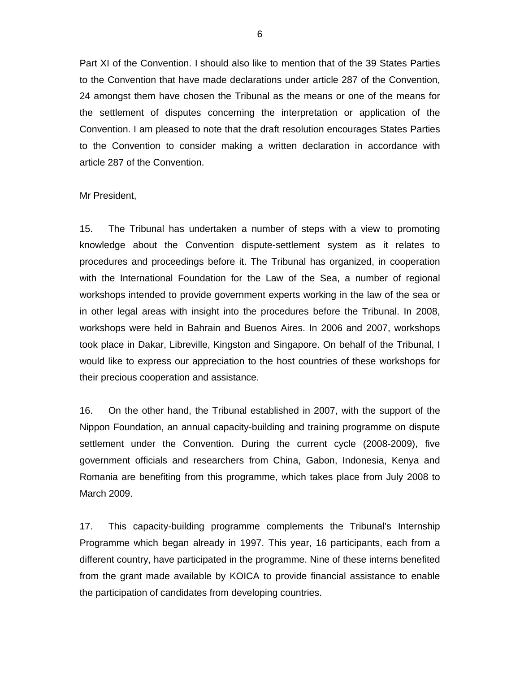Part XI of the Convention. I should also like to mention that of the 39 States Parties to the Convention that have made declarations under article 287 of the Convention, 24 amongst them have chosen the Tribunal as the means or one of the means for the settlement of disputes concerning the interpretation or application of the Convention. I am pleased to note that the draft resolution encourages States Parties to the Convention to consider making a written declaration in accordance with article 287 of the Convention.

#### Mr President,

15. The Tribunal has undertaken a number of steps with a view to promoting knowledge about the Convention dispute-settlement system as it relates to procedures and proceedings before it. The Tribunal has organized, in cooperation with the International Foundation for the Law of the Sea, a number of regional workshops intended to provide government experts working in the law of the sea or in other legal areas with insight into the procedures before the Tribunal. In 2008, workshops were held in Bahrain and Buenos Aires. In 2006 and 2007, workshops took place in Dakar, Libreville, Kingston and Singapore. On behalf of the Tribunal, I would like to express our appreciation to the host countries of these workshops for their precious cooperation and assistance.

16. On the other hand, the Tribunal established in 2007, with the support of the Nippon Foundation, an annual capacity-building and training programme on dispute settlement under the Convention. During the current cycle (2008-2009), five government officials and researchers from China, Gabon, Indonesia, Kenya and Romania are benefiting from this programme, which takes place from July 2008 to March 2009.

17. This capacity-building programme complements the Tribunal's Internship Programme which began already in 1997. This year, 16 participants, each from a different country, have participated in the programme. Nine of these interns benefited from the grant made available by KOICA to provide financial assistance to enable the participation of candidates from developing countries.